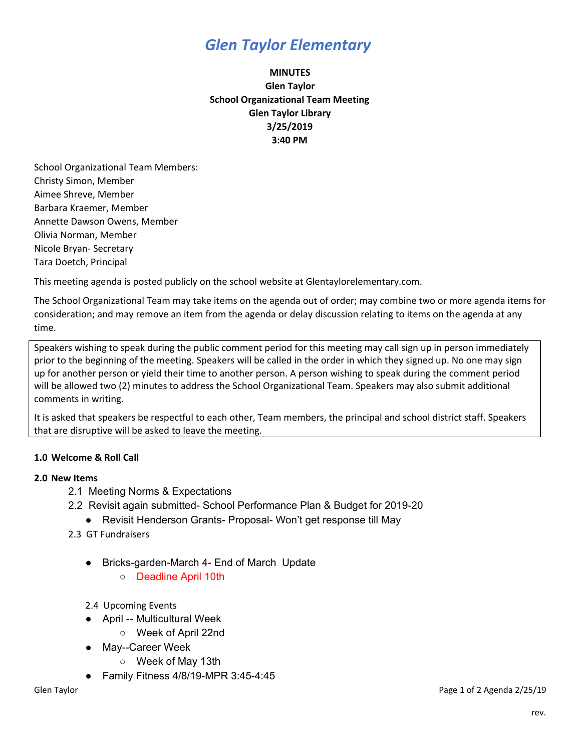# *Glen Taylor Elementary*

# **MINUTES Glen Taylor School Organizational Team Meeting Glen Taylor Library 3/25/2019 3:40 PM**

School Organizational Team Members: Christy Simon, Member Aimee Shreve, Member Barbara Kraemer, Member Annette Dawson Owens, Member Olivia Norman, Member Nicole Bryan- Secretary Tara Doetch, Principal

This meeting agenda is posted publicly on the school website at Glentaylorelementary.com.

The School Organizational Team may take items on the agenda out of order; may combine two or more agenda items for consideration; and may remove an item from the agenda or delay discussion relating to items on the agenda at any time.

Speakers wishing to speak during the public comment period for this meeting may call sign up in person immediately prior to the beginning of the meeting. Speakers will be called in the order in which they signed up. No one may sign up for another person or yield their time to another person. A person wishing to speak during the comment period will be allowed two (2) minutes to address the School Organizational Team. Speakers may also submit additional comments in writing.

It is asked that speakers be respectful to each other, Team members, the principal and school district staff. Speakers that are disruptive will be asked to leave the meeting.

## **1.0 Welcome & Roll Call**

#### **2.0 New Items**

- 2.1 Meeting Norms & Expectations
- 2.2 Revisit again submitted- School Performance Plan & Budget for 2019-20
	- Revisit Henderson Grants- Proposal- Won't get response till May
- 2.3 GT Fundraisers
	- Bricks-garden-March 4- End of March Update
		- Deadline April 10th
	- 2.4 Upcoming Events
	- April -- Multicultural Week
		- Week of April 22nd
	- May--Career Week
		- Week of May 13th
	- Family Fitness 4/8/19-MPR 3:45-4:45